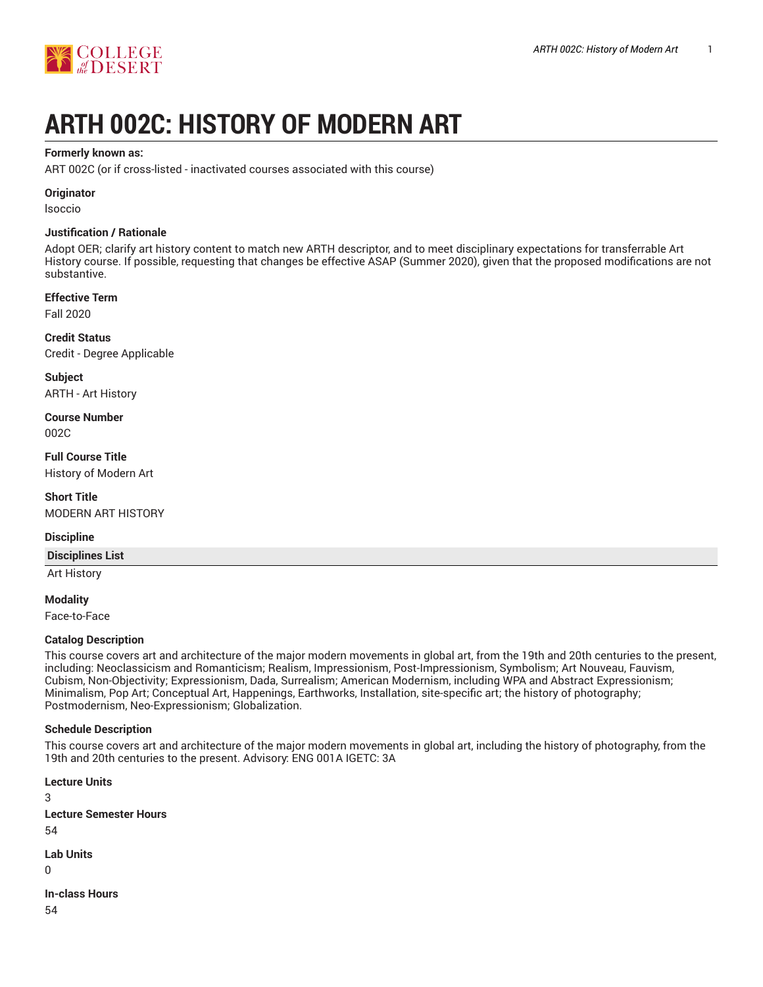

# **ARTH 002C: HISTORY OF MODERN ART**

# **Formerly known as:**

ART 002C (or if cross-listed - inactivated courses associated with this course)

# **Originator**

lsoccio

# **Justification / Rationale**

Adopt OER; clarify art history content to match new ARTH descriptor, and to meet disciplinary expectations for transferrable Art History course. If possible, requesting that changes be effective ASAP (Summer 2020), given that the proposed modifications are not substantive.

#### **Effective Term**

Fall 2020

**Credit Status** Credit - Degree Applicable

**Subject** ARTH - Art History

**Course Number** 002C

**Full Course Title** History of Modern Art

**Short Title** MODERN ART HISTORY

#### **Discipline**

#### **Disciplines List**

Art History

**Modality** Face-to-Face

#### **Catalog Description**

This course covers art and architecture of the major modern movements in global art, from the 19th and 20th centuries to the present, including: Neoclassicism and Romanticism; Realism, Impressionism, Post-Impressionism, Symbolism; Art Nouveau, Fauvism, Cubism, Non-Objectivity; Expressionism, Dada, Surrealism; American Modernism, including WPA and Abstract Expressionism; Minimalism, Pop Art; Conceptual Art, Happenings, Earthworks, Installation, site-specific art; the history of photography; Postmodernism, Neo-Expressionism; Globalization.

#### **Schedule Description**

This course covers art and architecture of the major modern movements in global art, including the history of photography, from the 19th and 20th centuries to the present. Advisory: ENG 001A IGETC: 3A

**Lecture Units** 3 **Lecture Semester Hours** 54 **Lab Units**  $\Omega$ **In-class Hours** 54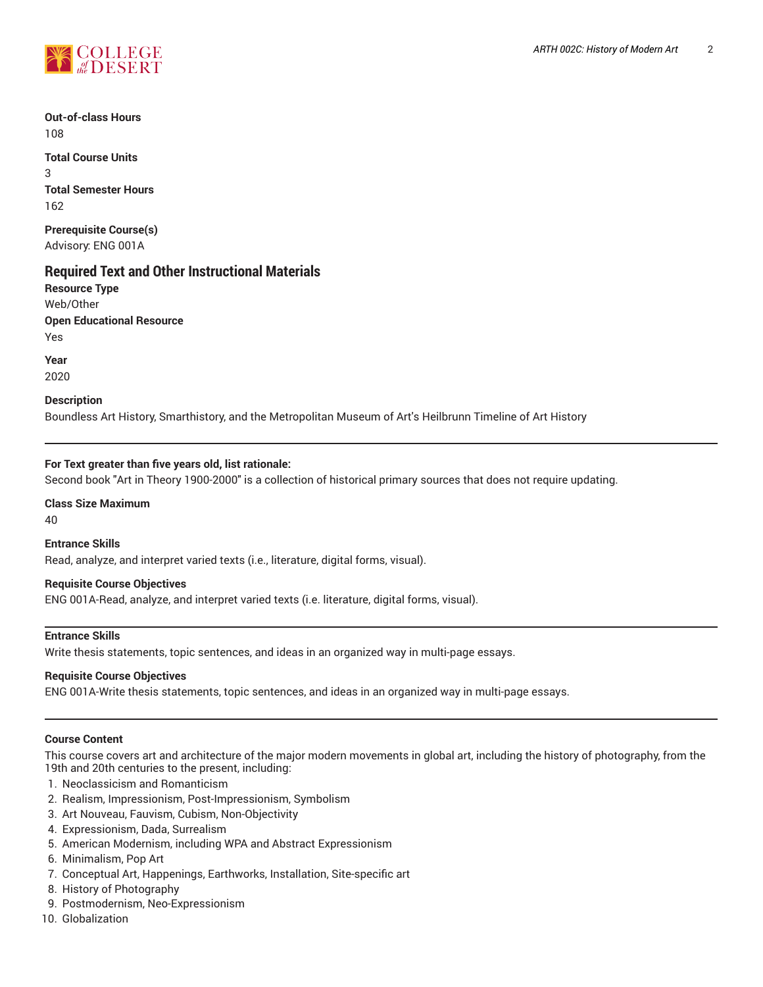

**Out-of-class Hours** 108

**Total Course Units** 3 **Total Semester Hours** 162

**Prerequisite Course(s)** Advisory: ENG 001A

# **Required Text and Other Instructional Materials**

**Resource Type** Web/Other **Open Educational Resource** Yes

**Year** 2020

# **Description**

Boundless Art History, Smarthistory, and the Metropolitan Museum of Art's Heilbrunn Timeline of Art History

# **For Text greater than five years old, list rationale:**

Second book "Art in Theory 1900-2000" is a collection of historical primary sources that does not require updating.

#### **Class Size Maximum**

40

**Entrance Skills** Read, analyze, and interpret varied texts (i.e., literature, digital forms, visual).

#### **Requisite Course Objectives**

ENG 001A-Read, analyze, and interpret varied texts (i.e. literature, digital forms, visual).

# **Entrance Skills**

Write thesis statements, topic sentences, and ideas in an organized way in multi-page essays.

# **Requisite Course Objectives**

ENG 001A-Write thesis statements, topic sentences, and ideas in an organized way in multi-page essays.

#### **Course Content**

This course covers art and architecture of the major modern movements in global art, including the history of photography, from the 19th and 20th centuries to the present, including:

- 1. Neoclassicism and Romanticism
- 2. Realism, Impressionism, Post-Impressionism, Symbolism
- 3. Art Nouveau, Fauvism, Cubism, Non-Objectivity
- 4. Expressionism, Dada, Surrealism
- 5. American Modernism, including WPA and Abstract Expressionism
- 6. Minimalism, Pop Art
- 7. Conceptual Art, Happenings, Earthworks, Installation, Site-specific art
- 8. History of Photography
- 9. Postmodernism, Neo-Expressionism
- 10. Globalization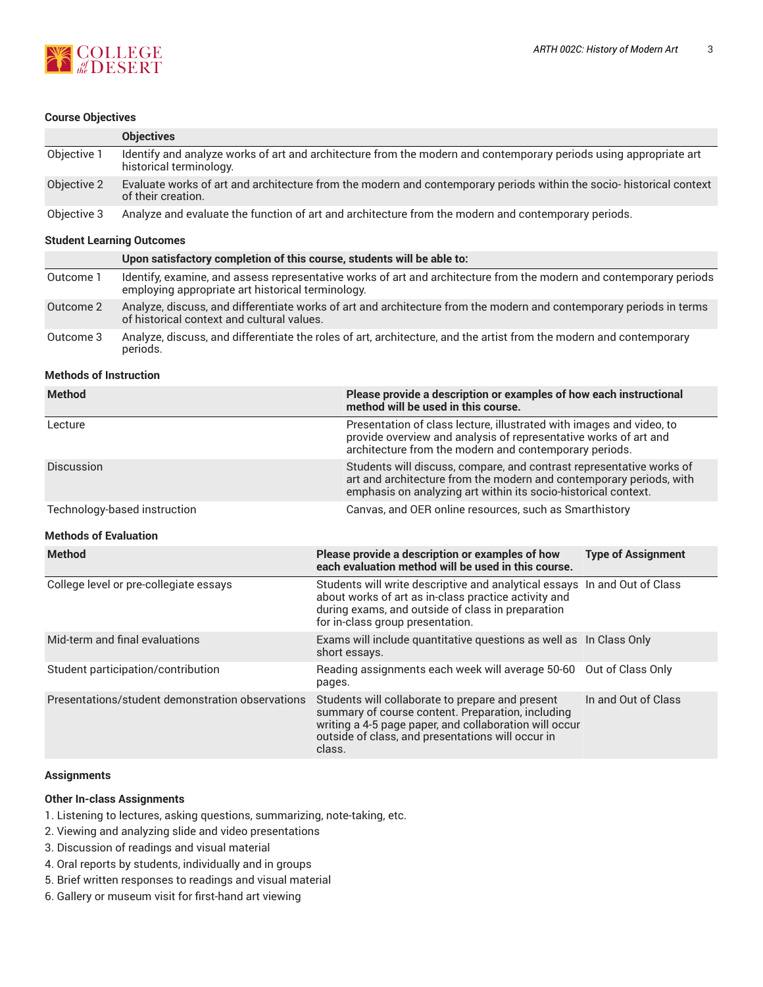

# **Course Objectives**

|             | <b>Objectives</b>                                                                                                                            |
|-------------|----------------------------------------------------------------------------------------------------------------------------------------------|
| Objective 1 | Identify and analyze works of art and architecture from the modern and contemporary periods using appropriate art<br>historical terminology. |
| Objective 2 | Evaluate works of art and architecture from the modern and contemporary periods within the socio- historical context<br>of their creation.   |
| Objective 3 | Analyze and evaluate the function of art and architecture from the modern and contemporary periods.                                          |

# **Student Learning Outcomes**

|           | Upon satisfactory completion of this course, students will be able to:                                                                                                   |
|-----------|--------------------------------------------------------------------------------------------------------------------------------------------------------------------------|
| Outcome 1 | Identify, examine, and assess representative works of art and architecture from the modern and contemporary periods<br>employing appropriate art historical terminology. |
| Outcome 2 | Analyze, discuss, and differentiate works of art and architecture from the modern and contemporary periods in terms<br>of historical context and cultural values.        |
| Outcome 3 | Analyze, discuss, and differentiate the roles of art, architecture, and the artist from the modern and contemporary<br>periods.                                          |

#### **Methods of Instruction**

| <b>Method</b>                                    | Please provide a description or examples of how each instructional<br>method will be used in this course.                                                                                                                      |                           |  |  |  |
|--------------------------------------------------|--------------------------------------------------------------------------------------------------------------------------------------------------------------------------------------------------------------------------------|---------------------------|--|--|--|
| Lecture                                          | Presentation of class lecture, illustrated with images and video, to<br>provide overview and analysis of representative works of art and<br>architecture from the modern and contemporary periods.                             |                           |  |  |  |
| Discussion                                       | Students will discuss, compare, and contrast representative works of<br>art and architecture from the modern and contemporary periods, with<br>emphasis on analyzing art within its socio-historical context.                  |                           |  |  |  |
| Technology-based instruction                     | Canvas, and OER online resources, such as Smarthistory                                                                                                                                                                         |                           |  |  |  |
| <b>Methods of Evaluation</b>                     |                                                                                                                                                                                                                                |                           |  |  |  |
| <b>Method</b>                                    | Please provide a description or examples of how<br>each evaluation method will be used in this course.                                                                                                                         | <b>Type of Assignment</b> |  |  |  |
| College level or pre-collegiate essays           | Students will write descriptive and analytical essays In and Out of Class<br>about works of art as in-class practice activity and<br>during exams, and outside of class in preparation<br>for in-class group presentation.     |                           |  |  |  |
| Mid-term and final evaluations                   | Exams will include quantitative questions as well as In Class Only<br>short essays.                                                                                                                                            |                           |  |  |  |
| Student participation/contribution               | Reading assignments each week will average 50-60 Out of Class Only<br>pages.                                                                                                                                                   |                           |  |  |  |
| Presentations/student demonstration observations | Students will collaborate to prepare and present<br>summary of course content. Preparation, including<br>writing a 4-5 page paper, and collaboration will occur<br>outside of class, and presentations will occur in<br>class. | In and Out of Class       |  |  |  |

# **Assignments**

# **Other In-class Assignments**

- 1. Listening to lectures, asking questions, summarizing, note-taking, etc.
- 2. Viewing and analyzing slide and video presentations
- 3. Discussion of readings and visual material
- 4. Oral reports by students, individually and in groups
- 5. Brief written responses to readings and visual material
- 6. Gallery or museum visit for first-hand art viewing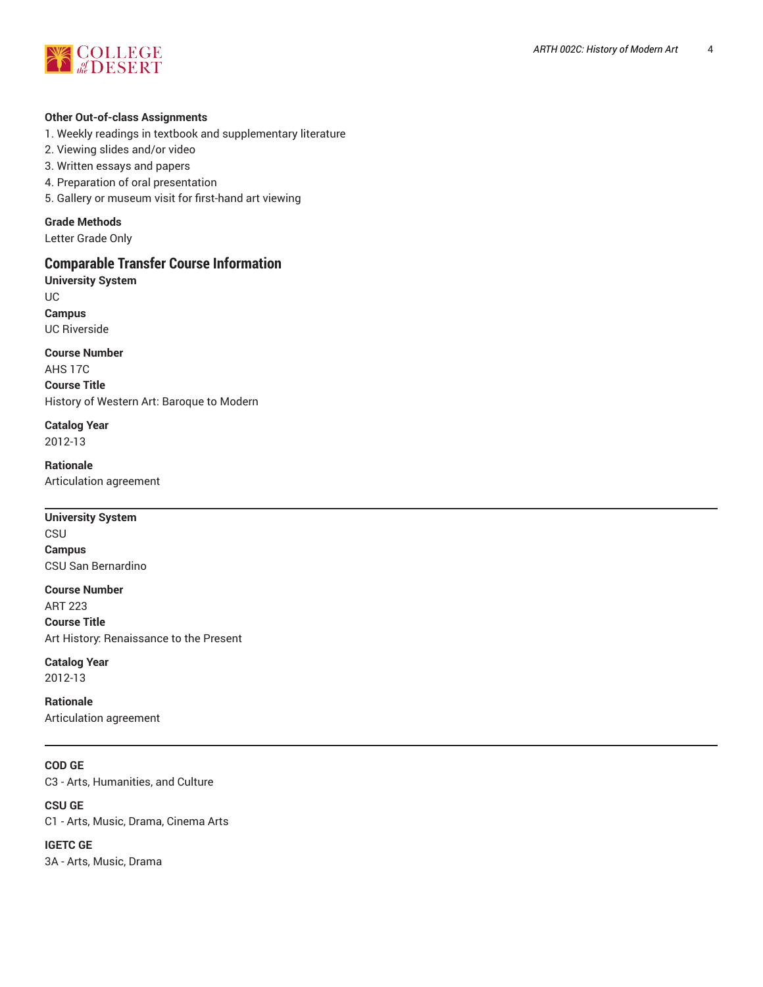

# **Other Out-of-class Assignments**

- 1. Weekly readings in textbook and supplementary literature
- 2. Viewing slides and/or video
- 3. Written essays and papers
- 4. Preparation of oral presentation
- 5. Gallery or museum visit for first-hand art viewing

# **Grade Methods**

Letter Grade Only

# **Comparable Transfer Course Information**

**University System** UC **Campus** UC Riverside

**Course Number**

AHS 17C **Course Title** History of Western Art: Baroque to Modern

**Catalog Year** 2012-13

**Rationale** Articulation agreement

# **University System**

**CSU Campus** CSU San Bernardino

**Course Number** ART 223 **Course Title** Art History: Renaissance to the Present

**Catalog Year** 2012-13

**Rationale** Articulation agreement

**COD GE** C3 - Arts, Humanities, and Culture

**CSU GE** C1 - Arts, Music, Drama, Cinema Arts

**IGETC GE** 3A - Arts, Music, Drama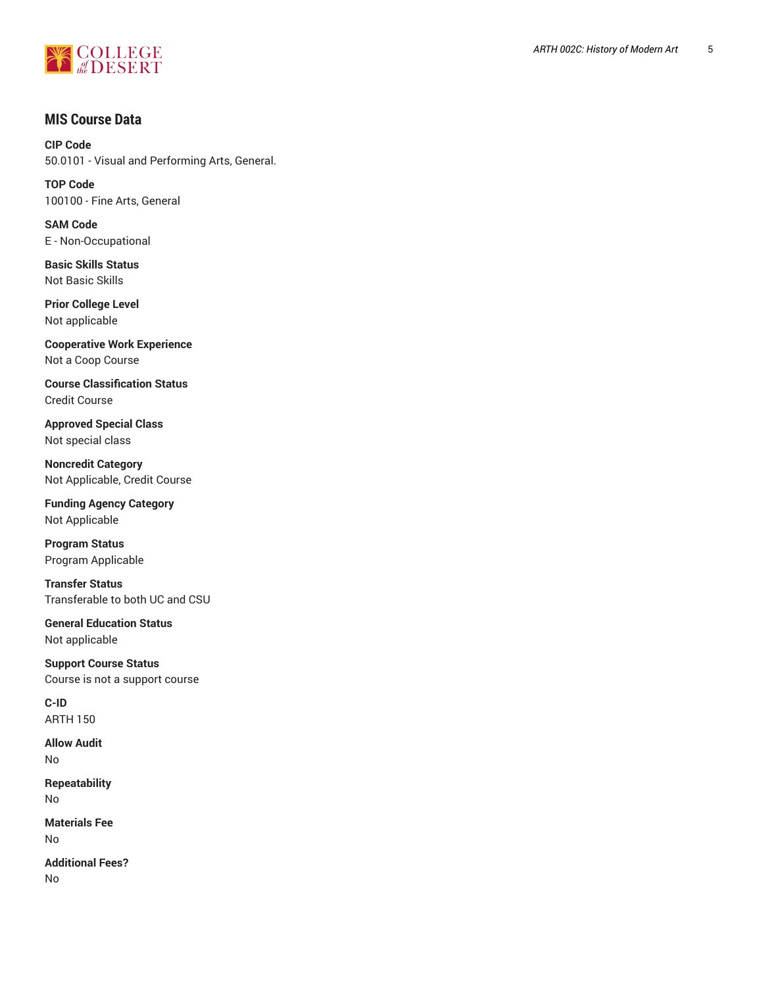

# **MIS Course Data**

**CIP Code** 50.0101 - Visual and Performing Arts, General.

**TOP Code** 100100 - Fine Arts, General

**SAM Code** E - Non-Occupational

**Basic Skills Status** Not Basic Skills

**Prior College Level** Not applicable

**Cooperative Work Experience** Not a Coop Course

**Course Classification Status** Credit Course

**Approved Special Class** Not special class

**Noncredit Category** Not Applicable, Credit Course

**Funding Agency Category** Not Applicable

**Program Status** Program Applicable

**Transfer Status** Transferable to both UC and CSU

**General Education Status** Not applicable

**Support Course Status** Course is not a support course

**C-ID** ARTH 150

**Allow Audit** No

**Repeatability** No

**Materials Fee** No

**Additional Fees?** No